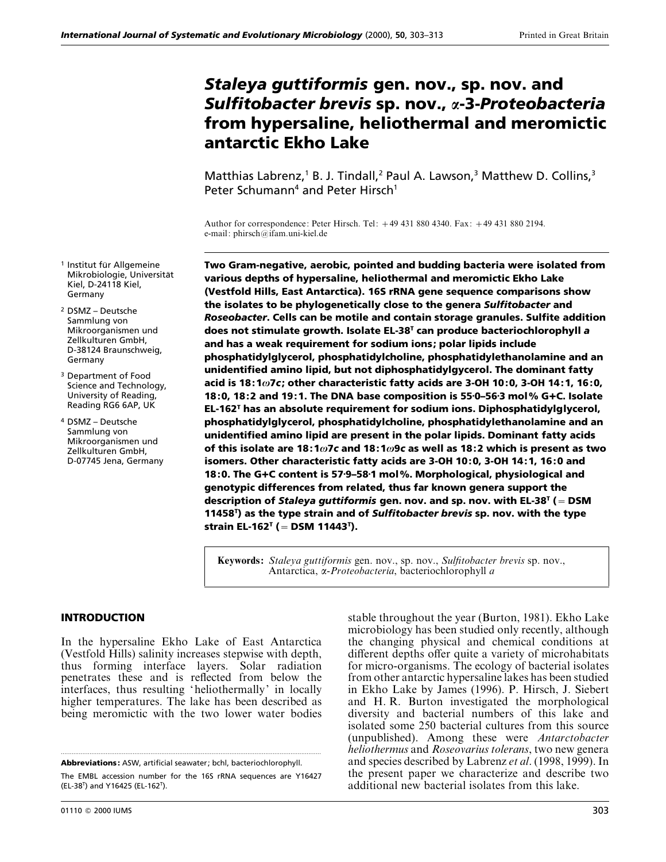# *Staleya guttiformis* **gen. nov., sp. nov. and** *Sulfitobacter brevis* **sp. nov.,** *α***-3-***Proteobacteria* **from hypersaline, heliothermal and meromictic antarctic Ekho Lake**

Matthias Labrenz,<sup>1</sup> B. J. Tindall,<sup>2</sup> Paul A. Lawson,<sup>3</sup> Matthew D. Collins,<sup>3</sup> Peter Schumann<sup>4</sup> and Peter Hirsch<sup>1</sup>

Author for correspondence: Peter Hirsch. Tel: 49 431 880 4340. Fax: 49 431 880 2194. e-mail: phirsch@ifam.uni-kiel.de

**Two Gram-negative, aerobic, pointed and budding bacteria were isolated from various depths of hypersaline, heliothermal and meromictic Ekho Lake (Vestfold Hills, East Antarctica). 16S rRNA gene sequence comparisons show the isolates to be phylogenetically close to the genera** *Sulfitobacter* **and** *Roseobacter***. Cells can be motile and contain storage granules. Sulfite addition does not stimulate growth. Isolate EL-38T can produce bacteriochlorophyll** *a* **and has a weak requirement for sodium ions; polar lipids include phosphatidylglycerol, phosphatidylcholine, phosphatidylethanolamine and an unidentified amino lipid, but not diphosphatidylgycerol. The dominant fatty acid is 18:1***ω***7***c***; other characteristic fatty acids are 3-OH 10:0, 3-OH 14:1, 16:0, 18:0, 18:2 and 19:1. The DNA base composition is 55<sup>.</sup>0-56<sup>.</sup>3 mol% G+C. Isolate EL-162T has an absolute requirement for sodium ions. Diphosphatidylglycerol, phosphatidylglycerol, phosphatidylcholine, phosphatidylethanolamine and an unidentified amino lipid are present in the polar lipids. Dominant fatty acids of this isolate are 18:1***ω***7***c* **and 18:1***ω***9***c* **as well as 18:2 which is present as two isomers. Other characteristic fatty acids are 3-OH 10:0, 3-OH 14:1, 16:0 and 18:0. The G**M**C content is 57**<**9–58**<**1 mol%. Morphological, physiological and genotypic differences from related, thus far known genera support the description of** *Staleya guttiformis* **gen. nov. and sp. nov. with EL-38T (**¯**DSM 11458T ) as the type strain and of** *Sulfitobacter brevis* **sp. nov. with the type strain EL-162T (**¯**DSM 11443T ).**

**Keywords:** *Staleya guttiformis* gen. nov., sp. nov., *Sulfitobacter brevis* sp. nov., Antarctica, α-*Proteobacteria*, bacteriochlorophyll *a*

#### **INTRODUCTION**

<sup>1</sup> Institut für Allgemeine Mikrobiologie, Universität Kiel, D-24118 Kiel,

Germany <sup>2</sup> DSMZ – Deutsche Sammlung von Mikroorganismen und Zellkulturen GmbH, D-38124 Braunschweig,

Germany

<sup>3</sup> Department of Food Science and Technology, University of Reading, Reading RG6 6AP, UK <sup>4</sup> DSMZ – Deutsche Sammlung von Mikroorganismen und Zellkulturen GmbH, D-07745 Jena, Germany

In the hypersaline Ekho Lake of East Antarctica (Vestfold Hills) salinity increases stepwise with depth, thus forming interface layers. Solar radiation penetrates these and is reflected from below the interfaces, thus resulting 'heliothermally' in locally higher temperatures. The lake has been described as being meromictic with the two lower water bodies

.................................................................................................................................................

stable throughout the year (Burton, 1981). Ekho Lake microbiology has been studied only recently, although the changing physical and chemical conditions at different depths offer quite a variety of microhabitats for micro-organisms. The ecology of bacterial isolates from other antarctic hypersaline lakes has been studied in Ekho Lake by James (1996). P. Hirsch, J. Siebert and H. R. Burton investigated the morphological diversity and bacterial numbers of this lake and isolated some 250 bacterial cultures from this source (unpublished). Among these were *Antarctobacter heliothermus* and *Roseovarius tolerans*, two new genera and species described by Labrenz *et al*. (1998, 1999). In the present paper we characterize and describe two additional new bacterial isolates from this lake.

**Abbreviations:** ASW, artificial seawater; bchl, bacteriochlorophyll.

The EMBL accession number for the 16S rRNA sequences are Y16427 (EL-38T ) and Y16425 (EL-162T ).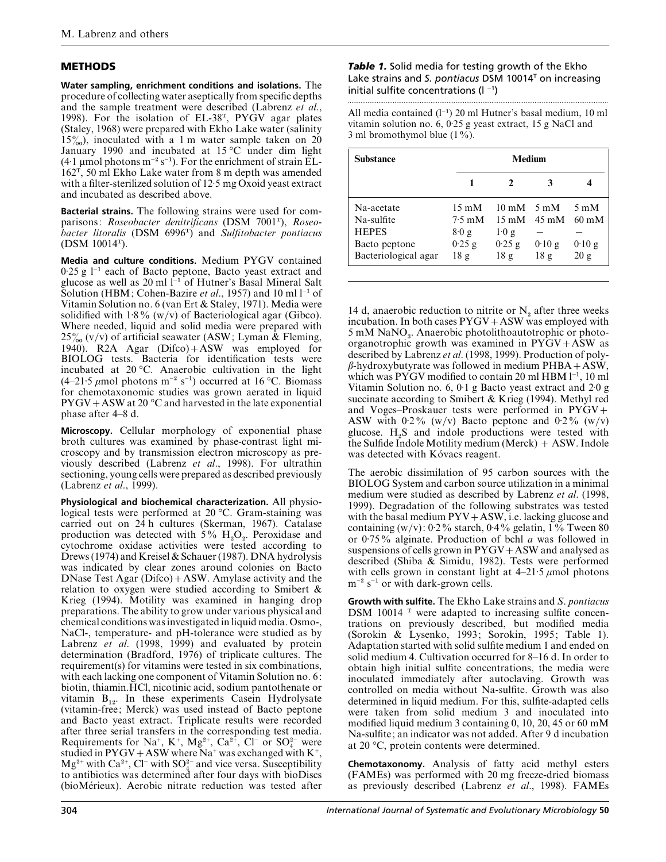## **METHODS**

**Water sampling, enrichment conditions and isolations.** The procedure of collecting water aseptically from specific depths and the sample treatment were described (Labrenz *et al*., 1998). For the isolation of EL-38T, PYGV agar plates (Staley, 1968) were prepared with Ekho Lake water (salinity  $15\%$ ), inoculated with a 1 m water sample taken on 20 January 1990 and incubated at 15 °C under dim light (4⋅1 µmol photons m<sup>-2</sup> s<sup>-1</sup>). For the enrichment of strain EL- $162^{\rm T}$ , 50 ml Ekho Lake water from 8 m depth was amended with a filter-sterilized solution of 12.5 mg Oxoid yeast extract and incubated as described above.

**Bacterial strains.** The following strains were used for comparisons: *Roseobacter denitrificans* (DSM 7001T), *Roseobacter litoralis* (DSM 6996T) and *Sulfitobacter pontiacus* (DSM 10014T).

**Media and culture conditions.** Medium PYGV contained <sup>0</sup>±25 g l−" each of Bacto peptone, Bacto yeast extract and glucose as well as 20 ml l−" of Hutner's Basal Mineral Salt Solution (HBM; Cohen-Bazire *et al.*, 1957) and 10 ml l<sup>−1</sup> of Vitamin Solution no. 6 (van Ert & Staley, 1971). Media were solidified with  $1.8\%$  (w/v) of Bacteriological agar (Gibco). Where needed, liquid and solid media were prepared with  $25\%$  (v/v) of artificial seawater (ASW; Lyman  $\&$  Fleming, 1940). R2A Agar  $(Difco) + ASW$  was employed for BIOLOG tests. Bacteria for identification tests were incubated at 20 °C. Anaerobic cultivation in the light (4–21⋅5  $\mu$ mol photons m<sup>-2</sup> s<sup>-1</sup>) occurred at 16 °C. Biomass for chemotaxonomic studies was grown aerated in liquid  $PYGV+ASW$  at 20 °C and harvested in the late exponential phase after 4–8 d.

**Microscopy.** Cellular morphology of exponential phase broth cultures was examined by phase-contrast light microscopy and by transmission electron microscopy as previously described (Labrenz *et al*., 1998). For ultrathin sectioning, young cells were prepared as described previously (Labrenz *et al*., 1999).

**Physiological and biochemical characterization.** All physiological tests were performed at 20 °C. Gram-staining was carried out on 24 h cultures (Skerman, 1967). Catalase production was detected with  $5\%$  H<sub>2</sub>O<sub>2</sub>. Peroxidase and cytochrome oxidase activities were tested according to Drews (1974) and Kreisel & Schauer (1987). DNA hydrolysis was indicated by clear zones around colonies on Bacto DNase Test Agar  $(Difco) + ASW$ . Amylase activity and the relation to oxygen were studied according to Smibert & Krieg (1994). Motility was examined in hanging drop preparations. The ability to grow under various physical and chemical conditions was investigated in liquid media. Osmo-, NaCl-, temperature- and pH-tolerance were studied as by Labrenz *et al.* (1998, 1999) and evaluated by protein determination (Bradford, 1976) of triplicate cultures. The requirement(s) for vitamins were tested in six combinations, with each lacking one component of Vitamin Solution no. 6: biotin, thiamin.HCl, nicotinic acid, sodium pantothenate or vitamin  $B_{12}$ . In these experiments Casein Hydrolysate (vitamin-free; Merck) was used instead of Bacto peptone and Bacto yeast extract. Triplicate results were recorded after three serial transfers in the corresponding test media. after three serial transfers in the corresponding test media.<br>Requirements for Na<sup>+</sup>, K<sup>+</sup>, Mg<sup>2+</sup>, Ca<sup>2+</sup>, Cl<sup>−</sup> or SO<sup>2</sup><sup>−</sup>, were studied in  $PYGV+ASW$  where Na<sup>+</sup> was exchanged with K<sup>+</sup>, studied in PYGV+ASW where Na<sup>+</sup> was exchanged with K<sup>+</sup>, Mg<sup>2+</sup> with Ca<sup>2+</sup>, Cl<sup>−</sup> with SO<sub>4</sub><sup>-</sup> and vice versa. Susceptibility to antibiotics was determined after four days with bioDiscs (bioMérieux). Aerobic nitrate reduction was tested after

*Table 1.* Solid media for testing growth of the Ekho Lake strains and *S. pontiacus* DSM 10014T on increasing initial sulfite concentrations (l −<sup>1</sup> )

................................................................................................................................................. All media contained (l−") 20 ml Hutner's basal medium, 10 ml vitamin solution no. 6, 0.25 g yeast extract, 15 g NaCl and 3 ml bromothymol blue  $(1\%)$ .

| <b>Substance</b>     |                  | Medium               |                 |                 |  |  |  |  |
|----------------------|------------------|----------------------|-----------------|-----------------|--|--|--|--|
|                      |                  |                      |                 |                 |  |  |  |  |
| Na-acetate           | $15 \text{ mM}$  | $10 \text{ mM}$ 5 mM |                 | $5 \text{ mM}$  |  |  |  |  |
| Na-sulfite           | $7.5 \text{ mM}$ | $15 \text{ mM}$      | $45 \text{ mM}$ | $60 \text{ mM}$ |  |  |  |  |
| <b>HEPES</b>         | 8.0 g            | 1.0 g                |                 |                 |  |  |  |  |
| Bacto peptone        | $0.25$ g         | $0.25$ g             | 0.10g           | $0.10$ g        |  |  |  |  |
| Bacteriological agar | 18g              | 18g                  | 18g             | 20 g            |  |  |  |  |

14 d, anaerobic reduction to nitrite or  $N_2$  after three weeks incubation. In both cases  $PYGV+ASW$  was employed with  $5 \text{ mM }$  NaNO<sub>3</sub>. Anaerobic photolithoautotrophic or photoorganotrophic growth was examined in  $\mathrm{PYGV{+}ASW}$  as described by Labrenz *et al*. (1998, 1999). Production of polyβ-hydroxybutyrate was followed in medium PHBA + ASW, which was PYGV modified to contain 20 ml HBM l<sup>-1</sup>, 10 ml Vitamin Solution no. 6,  $0.1$  g Bacto yeast extract and  $2.0$  g succinate according to Smibert & Krieg (1994). Methyl red and Voges–Proskauer tests were performed in  $PYGV+$ ASW with  $0.2\%$  (w/v) Bacto peptone and  $0.2\%$  (w/v) glucose.  $H_2S$  and indole productions were tested with the Sulfide Indole Motility medium (Merck) + ASW. Indole was detected with Kóvacs reagent.

The aerobic dissimilation of 95 carbon sources with the BIOLOG System and carbon source utilization in a minimal medium were studied as described by Labrenz *et al*. (1998, 1999). Degradation of the following substrates was tested with the basal medium  $PYV+ASW$ , i.e. lacking glucose and containing  $(w/v)$ : 0·2% starch, 0·4% gelatin, 1% Tween 80 or 0±75% alginate. Production of bchl *a* was followed in suspensions of cells grown in  $PYGV+ASW$  and analysed as described (Shiba & Simidu, 1982). Tests were performed with cells grown in constant light at  $4-21.5 \mu$  mol photons  $m^{-2}$  s<sup>-1</sup> or with dark-grown cells.

**Growth with sulfite.** The Ekho Lake strains and *S*. *pontiacus* DSM 10014 $\text{T}$  were adapted to increasing sulfite concentrations on previously described, but modified media (Sorokin & Lysenko, 1993; Sorokin, 1995; Table 1). Adaptation started with solid sulfite medium 1 and ended on solid medium 4. Cultivation occurred for 8–16 d. In order to obtain high initial sulfite concentrations, the media were inoculated immediately after autoclaving. Growth was controlled on media without Na-sulfite. Growth was also determined in liquid medium. For this, sulfite-adapted cells were taken from solid medium 3 and inoculated into modified liquid medium 3 containing 0, 10, 20, 45 or 60 mM Na-sulfite; an indicator was not added. After 9 d incubation at 20 °C, protein contents were determined.

**Chemotaxonomy.** Analysis of fatty acid methyl esters (FAMEs) was performed with 20 mg freeze-dried biomass as previously described (Labrenz *et al*., 1998). FAMEs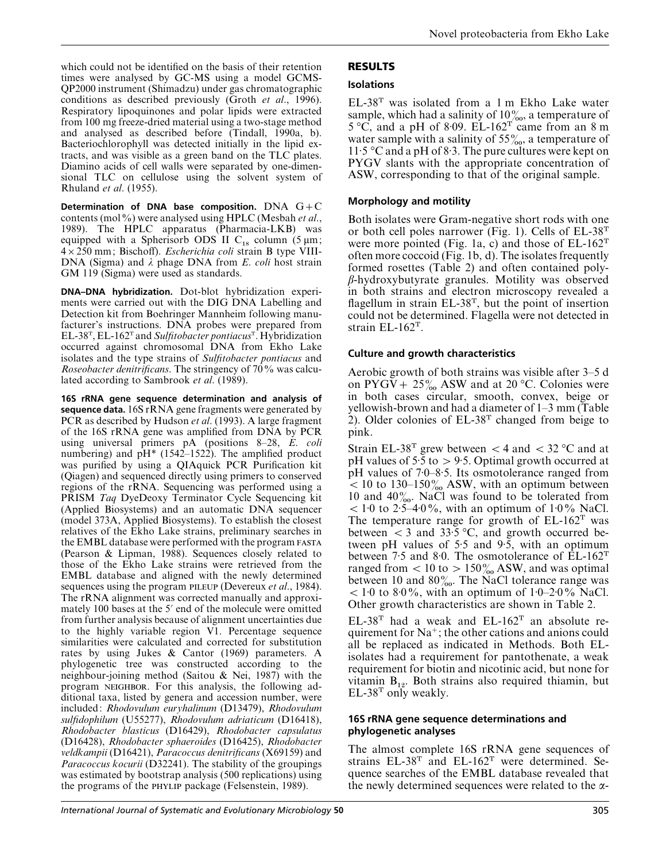which could not be identified on the basis of their retention times were analysed by GC-MS using a model GCMS-QP2000 instrument (Shimadzu) under gas chromatographic conditions as described previously (Groth *et al*., 1996). Respiratory lipoquinones and polar lipids were extracted from 100 mg freeze-dried material using a two-stage method and analysed as described before (Tindall, 1990a, b). Bacteriochlorophyll was detected initially in the lipid extracts, and was visible as a green band on the TLC plates. Diamino acids of cell walls were separated by one-dimensional TLC on cellulose using the solvent system of Rhuland *et al*. (1955).

Determination of DNA base composition.  $DNA G+C$ contents (mol%) were analysed using HPLC (Mesbah *et al*., 1989). The HPLC apparatus (Pharmacia-LKB) was equipped with a Spherisorb ODS II  $C_{18}$  column (5 µm; 4¬250 mm; Bischoff). *Escherichia coli* strain B type VIII-DNA (Sigma) and λ phage DNA from *E*. *coli* host strain GM 119 (Sigma) were used as standards.

**DNA–DNA hybridization.** Dot-blot hybridization experiments were carried out with the DIG DNA Labelling and Detection kit from Boehringer Mannheim following manufacturer's instructions. DNA probes were prepared from EL-38T, EL-162T and *Sulfitobacter pontiacus*T. Hybridization occurred against chromosomal DNA from Ekho Lake isolates and the type strains of *Sulfitobacter pontiacus* and *Roseobacter denitrificans*. The stringency of 70% was calculated according to Sambrook *et al*. (1989).

**16S rRNA gene sequence determination and analysis of sequence data.** 16S rRNA gene fragments were generated by PCR as described by Hudson *et al*. (1993). A large fragment of the 16S rRNA gene was amplified from DNA by PCR using universal primers pA (positions 8–28, *E*. *coli* numbering) and pH\* (1542–1522). The amplified product was purified by using a QIAquick PCR Purification kit (Qiagen) and sequenced directly using primers to conserved regions of the rRNA. Sequencing was performed using a PRISM *Taq* DyeDeoxy Terminator Cycle Sequencing kit (Applied Biosystems) and an automatic DNA sequencer (model 373A, Applied Biosystems). To establish the closest relatives of the Ekho Lake strains, preliminary searches in the EMBL database were performed with the program (Pearson & Lipman, 1988). Sequences closely related to those of the Ekho Lake strains were retrieved from the EMBL database and aligned with the newly determined sequences using the program PILEUP (Devereux *et al.*, 1984). The rRNA alignment was corrected manually and approximately 100 bases at the 5' end of the molecule were omitted from further analysis because of alignment uncertainties due to the highly variable region V1. Percentage sequence similarities were calculated and corrected for substitution rates by using Jukes & Cantor (1969) parameters. A phylogenetic tree was constructed according to the neighbour-joining method (Saitou & Nei, 1987) with the program NEIGHBOR. For this analysis, the following additional taxa, listed by genera and accession number, were included: *Rhodovulum euryhalinum* (D13479), *Rhodovulum sulfidophilum* (U55277), *Rhodovulum adriaticum* (D16418), *Rhodobacter blasticus* (D16429), *Rhodobacter capsulatus* (D16428), *Rhodobacter sphaeroides* (D16425), *Rhodobacter veldkampii* (D16421), *Paracoccus denitrificans* (X69159) and *Paracoccus kocurii* (D32241). The stability of the groupings was estimated by bootstrap analysis (500 replications) using the programs of the package (Felsenstein, 1989).

# **RESULTS**

## **Isolations**

EL-38T was isolated from a 1 m Ekho Lake water sample, which had a salinity of  $10\%$ , a temperature of  $5^{\circ}$ C, and a pH of 8.09. EL-162<sup>T</sup> came from an 8 m water sample with a salinity of  $55\%$ , a temperature of 11.5 °C and a pH of 8.3. The pure cultures were kept on PYGV slants with the appropriate concentration of ASW, corresponding to that of the original sample.

## **Morphology and motility**

Both isolates were Gram-negative short rods with one or both cell poles narrower (Fig. 1). Cells of  $EL-38<sup>T</sup>$ were more pointed (Fig. 1a, c) and those of  $EL-162<sup>T</sup>$ often more coccoid (Fig. 1b, d). The isolates frequently formed rosettes (Table 2) and often contained polyβ-hydroxybutyrate granules. Motility was observed in both strains and electron microscopy revealed a flagellum in strain  $EL-38<sup>T</sup>$ , but the point of insertion could not be determined. Flagella were not detected in strain EL-162T.

## **Culture and growth characteristics**

Aerobic growth of both strains was visible after 3–5 d on PYGV +  $25\%$  ASW and at 20 °C. Colonies were in both cases circular, smooth, convex, beige or yellowish-brown and had a diameter of 1–3 mm (Table 2). Older colonies of  $EL-38<sup>T</sup>$  changed from beige to pink.

Strain EL-38<sup>T</sup> grew between  $<$  4 and  $<$  32 °C and at pH values of  $5\cdot\overline{5}$  to  $> 9\cdot 5$ . Optimal growth occurred at pH values of  $7.0-8.5$ . Its osmotolerance ranged from  $\approx$  10 to 130–150 $\%$  ASW, with an optimum between 10 and  $40\%$ . NaCl was found to be tolerated from  $1:0$  to 2:5–4:0%, with an optimum of 1:0% NaCl. The temperature range for growth of  $EL-162<sup>T</sup>$  was between  $\lt$  3 and 33.5 °C, and growth occurred between pH values of  $5.5$  and  $9.5$ , with an optimum between 7.5 and 8.0. The osmotolerance of  $\text{EL-}162^{\text{T}}$ ranged from  $< 10$  to  $> 150\%$  ASW, and was optimal between 10 and  $80\%$ . The NaCl tolerance range was  $1:0$  to 8 $0\%$ , with an optimum of  $1:0-2:0\%$  NaCl. Other growth characteristics are shown in Table 2.

 $EL-38<sup>T</sup>$  had a weak and  $EL-162<sup>T</sup>$  an absolute requirement for  $Na^+$ ; the other cations and anions could all be replaced as indicated in Methods. Both ELisolates had a requirement for pantothenate, a weak requirement for biotin and nicotinic acid, but none for vitamin  $B_{12}$ . Both strains also required thiamin, but  $EL-38<sup>T</sup>$  only weakly.

#### **16S rRNA gene sequence determinations and phylogenetic analyses**

The almost complete 16S rRNA gene sequences of strains  $EL-38<sup>T</sup>$  and  $EL-162<sup>T</sup>$  were determined. Sequence searches of the EMBL database revealed that the newly determined sequences were related to the  $\alpha$ -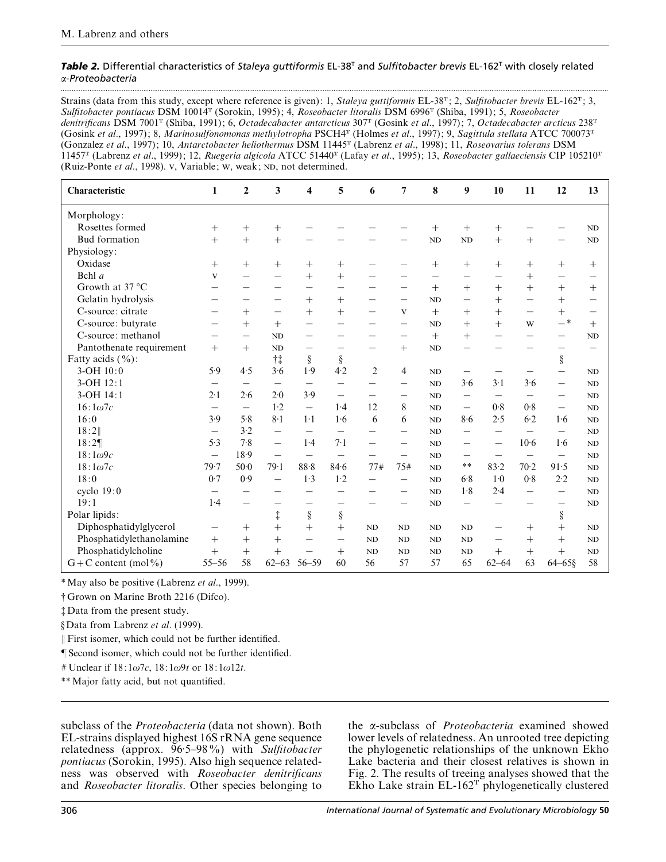#### *Table 2.* Differential characteristics of *Staleya guttiformis* EL-38T and *Sulfitobacter brevis* EL-162T with closely related α-*Proteobacteria*

.................................................................................................................................................................................................................................................................................................................

Strains (data from this study, except where reference is given): 1, *Staleya guttiformis* EL-38<sup>T</sup>; 2, *Sulfitobacter brevis* EL-162<sup>T</sup>; 3, *Sulfitobacter pontiacus* DSM 10014T (Sorokin, 1995); 4, *Roseobacter litoralis* DSM 6996T (Shiba, 1991); 5, *Roseobacter denitrificans* DSM 7001T (Shiba, 1991); 6, *Octadecabacter antarcticus* 307T (Gosink *et al*., 1997); 7, *Octadecabacter arcticus* 238T (Gosink *et al*., 1997); 8, *Marinosulfonomonas methylotropha* PSCH4T (Holmes *et al*., 1997); 9, *Sagittula stellata* ATCC 700073T (Gonzalez *et al*., 1997); 10, *Antarctobacter heliothermus* DSM 11445T (Labrenz *et al*., 1998); 11, *Roseovarius tolerans* DSM 11457T (Labrenz *et al*., 1999); 12, *Ruegeria algicola* ATCC 51440T (Lafay *et al*., 1995); 13, *Roseobacter gallaeciensis* CIP 105210T (Ruiz-Ponte *et al.*, 1998). v, Variable; w, weak; ND, not determined.

| Characteristic           | 1                        | $\boldsymbol{2}$         | 3                        | 4                        | 5                        | 6                        | $\overline{7}$ | 8                        | 9                        | 10                       | 11                       | 12                       | 13        |
|--------------------------|--------------------------|--------------------------|--------------------------|--------------------------|--------------------------|--------------------------|----------------|--------------------------|--------------------------|--------------------------|--------------------------|--------------------------|-----------|
| Morphology:              |                          |                          |                          |                          |                          |                          |                |                          |                          |                          |                          |                          |           |
| Rosettes formed          | $^{+}$                   | $^{+}$                   | $^{+}$                   |                          |                          |                          |                | $^{+}$                   | $^{+}$                   | $^{+}$                   |                          |                          | ND        |
| <b>Bud</b> formation     | $+$                      | $+$                      | $^{+}$                   |                          |                          |                          |                | <b>ND</b>                | ND                       | $^{+}$                   | $+$                      |                          | $\rm ND$  |
| Physiology:              |                          |                          |                          |                          |                          |                          |                |                          |                          |                          |                          |                          |           |
| Oxidase                  | $^{+}$                   | $^{+}$                   | $+$                      | $^{+}$                   | $^+$                     |                          |                | $^{+}$                   | $^{+}$                   | $^{+}$                   | $^{+}$                   | $^{+}$                   | $^{+}$    |
| Bchl $a$                 | V                        |                          | $\overline{\phantom{0}}$ | $^{+}$                   | $^{+}$                   |                          |                | $\overline{\phantom{0}}$ | $\overline{\phantom{0}}$ |                          | $^{+}$                   | $\overline{\phantom{0}}$ |           |
| Growth at $37^{\circ}$ C |                          |                          |                          | -                        | -                        |                          |                | $+$                      | $+$                      | $^{+}$                   | $^{+}$                   | $+$                      | $\, +$    |
| Gelatin hydrolysis       |                          |                          |                          | $^{+}$                   | $^{+}$                   |                          |                | <b>ND</b>                | $\overline{\phantom{0}}$ | $^{+}$                   |                          | $+$                      |           |
| C-source: citrate        |                          | $^{+}$                   | -                        | $^{+}$                   | $^{+}$                   |                          | V              | $+$                      | $^{+}$                   | $^{+}$                   | -                        | $^{+}$                   |           |
| C-source: butyrate       |                          | $+$                      | $+$                      |                          |                          |                          |                | <b>ND</b>                | $^{+}$                   | $+$                      | W                        | $ ^\ast$                 | $^{+}$    |
| C-source: methanol       |                          | $\overline{\phantom{0}}$ | <b>ND</b>                | $\overline{\phantom{0}}$ |                          |                          |                | $+$                      | $^{+}$                   |                          |                          | $\overline{\phantom{0}}$ | <b>ND</b> |
| Pantothenate requirement | $+$                      | $+$                      | <b>ND</b>                | $\overline{\phantom{0}}$ | -                        | $\overline{\phantom{0}}$ | $^{+}$         | ND                       |                          |                          |                          | $\overline{\phantom{0}}$ |           |
| Fatty acids $(\%)$ :     |                          |                          | $\dagger \ddagger$       | $\S$                     | $\S$                     |                          |                |                          |                          |                          |                          | $\S$                     |           |
| 3-OH 10:0                | 5.9                      | 4.5                      | 3.6                      | 1.9                      | 4.2                      | $\overline{2}$           | 4              | ND                       | —                        |                          |                          | $\overline{\phantom{0}}$ | ND        |
| 3-OH 12:1                |                          |                          |                          |                          |                          |                          |                | <b>ND</b>                | 3.6                      | $3-1$                    | 3.6                      | $\overline{\phantom{0}}$ | ND        |
| 3-OH 14:1                | 2.1                      | 2.6                      | $2 - 0$                  | 3.9                      | $\overline{\phantom{0}}$ |                          |                | <b>ND</b>                | $\overline{\phantom{0}}$ | $\overline{\phantom{0}}$ | -                        | -                        | ND        |
| $16:1\omega$ 7c          |                          | $\overline{\phantom{0}}$ | 1·2                      |                          | 1.4                      | 12                       | 8              | <b>ND</b>                |                          | 0.8                      | 0.8                      |                          | ND        |
| 16:0                     | 3.9                      | 5.8                      | $8-1$                    | $1-1$                    | 1.6                      | 6                        | 6              | <b>ND</b>                | 8.6                      | 2.5                      | $6-2$                    | 1.6                      | <b>ND</b> |
| 18:2                     | —                        | 3.2                      | $\overline{\phantom{0}}$ | $\qquad \qquad -$        |                          |                          |                | <b>ND</b>                | —                        |                          | —                        | —                        | <b>ND</b> |
| 18:29                    | 5.3                      | 7.8                      |                          | 1.4                      | $7-1$                    | -                        |                | <b>ND</b>                | $\overline{\phantom{0}}$ | $\overline{\phantom{0}}$ | $10-6$                   | 1.6                      | <b>ND</b> |
| $18:1\omega$ 9c          | $\overline{\phantom{0}}$ | 18.9                     |                          | $\overline{\phantom{0}}$ |                          |                          |                | <b>ND</b>                | $\overline{\phantom{0}}$ | $\overline{\phantom{0}}$ | -                        | $\overline{\phantom{0}}$ | $\rm ND$  |
| $18:1\omega7c$           | 79.7                     | $50-0$                   | 79.1                     | 88.8                     | 84.6                     | 77#                      | 75#            | <b>ND</b>                | $**$                     | 83.2                     | $70-2$                   | 91.5                     | ND        |
| 18:0                     | 0.7                      | 0.9                      | $\overline{\phantom{0}}$ | 1.3                      | $1-2$                    |                          |                | <b>ND</b>                | 6.8                      | $1-0$                    | 0.8                      | 2.2                      | <b>ND</b> |
| cyclo 19:0               |                          |                          |                          | $\overline{\phantom{0}}$ |                          |                          |                | N <sub>D</sub>           | 1.8                      | 2.4                      | $\overline{\phantom{0}}$ |                          | <b>ND</b> |
| 19:1                     | 1.4                      |                          |                          |                          |                          |                          |                | ND                       |                          |                          |                          |                          | <b>ND</b> |
| Polar lipids:            |                          |                          | $\ddagger$               | $\S$                     | $\S$                     |                          |                |                          |                          |                          |                          | ş                        |           |
| Diphosphatidylglycerol   |                          | $^{+}$                   | $^{+}$                   | $^{+}$                   | $+$                      | <b>ND</b>                | ND             | <b>ND</b>                | ND                       | -                        | $^{+}$                   | $^{+}$                   | <b>ND</b> |
| Phosphatidylethanolamine | $+$                      | $+$                      | $^{+}$                   |                          | $\overline{\phantom{0}}$ | <b>ND</b>                | ND             | <b>ND</b>                | ND                       |                          | $^{+}$                   | $^{+}$                   | <b>ND</b> |
| Phosphatidylcholine      | $+$                      | $+$                      | $^{+}$                   |                          | $^{+}$                   | <b>ND</b>                | ND             | <b>ND</b>                | ND                       | $+$                      | $^{+}$                   | $^{+}$                   | <b>ND</b> |
| $G + C$ content (mol%)   | $55 - 56$                | 58                       | $62 - 63$                | $56 - 59$                | 60                       | 56                       | 57             | 57                       | 65                       | $62 - 64$                | 63                       | $64 - 65$ §              | 58        |

\*May also be positive (Labrenz *et al*., 1999).

† Grown on Marine Broth 2216 (Difco).

‡ Data from the present study.

§ Data from Labrenz *et al*. (1999).

 $\parallel$  First isomer, which could not be further identified.

¶ Second isomer, which could not be further identified.

g Unclear if 18: 1ω7*c*, 18: 1ω9*t* or 18: 1ω12*t*.

\*\*Major fatty acid, but not quantified.

subclass of the *Proteobacteria* (data not shown). Both EL-strains displayed highest 16S rRNA gene sequence relatedness (approx. 96±5–98%) with *Sulfitobacter pontiacus* (Sorokin, 1995). Also high sequence relatedness was observed with *Roseobacter denitrificans* and *Roseobacter litoralis*. Other species belonging to

the α-subclass of *Proteobacteria* examined showed lower levels of relatedness. An unrooted tree depicting the phylogenetic relationships of the unknown Ekho Lake bacteria and their closest relatives is shown in Fig. 2. The results of treeing analyses showed that the Ekho Lake strain  $EL-162^T$  phylogenetically clustered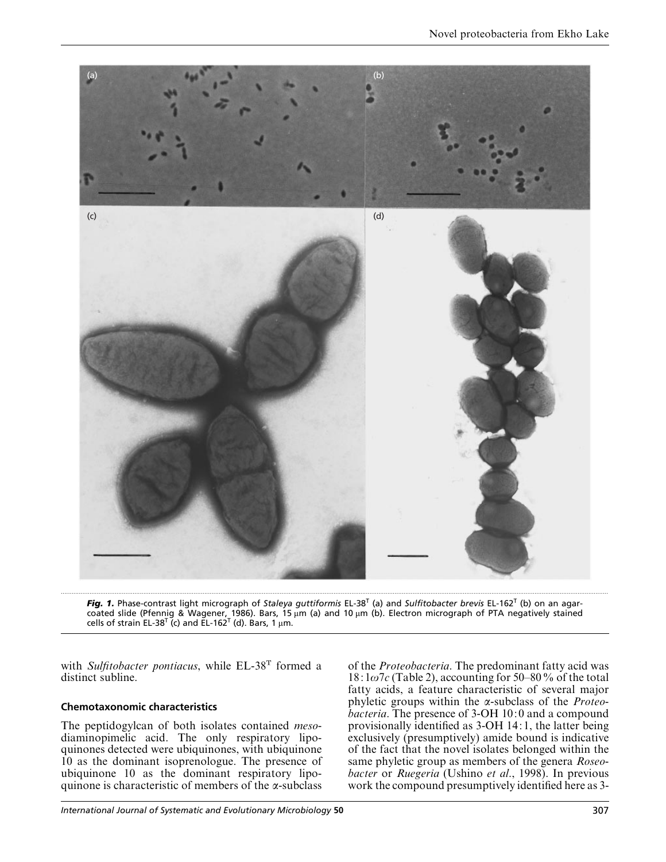

*Fig. 1.* Phase-contrast light micrograph of *Staleya guttiformis* EL-38T (a) and *Sulfitobacter brevis* EL-162T (b) on an agarcoated slide (Pfennig & Wagener, 1986). Bars, 15 µm (a) and 10 µm (b). Electron micrograph of PTA negatively stained<br>cells of strain EL-38<sup>T</sup> (c) and EL-162<sup>T</sup> (d). Bars, 1 µm.

with *Sulfitobacter pontiacus*, while EL-38T formed a distinct subline.

## **Chemotaxonomic characteristics**

The peptidogylcan of both isolates contained *meso*diaminopimelic acid. The only respiratory lipoquinones detected were ubiquinones, with ubiquinone 10 as the dominant isoprenologue. The presence of ubiquinone 10 as the dominant respiratory lipoquinone is characteristic of members of the α-subclass of the *Proteobacteria*. The predominant fatty acid was  $18: 1\omega$ 7*c* (Table 2), accounting for 50–80% of the total fatty acids, a feature characteristic of several major phyletic groups within the α-subclass of the *Proteobacteria*. The presence of 3-OH 10: 0 and a compound provisionally identified as 3-OH 14: 1, the latter being exclusively (presumptively) amide bound is indicative of the fact that the novel isolates belonged within the same phyletic group as members of the genera *Roseobacter* or *Ruegeria* (Ushino *et al*., 1998). In previous work the compound presumptively identified here as 3-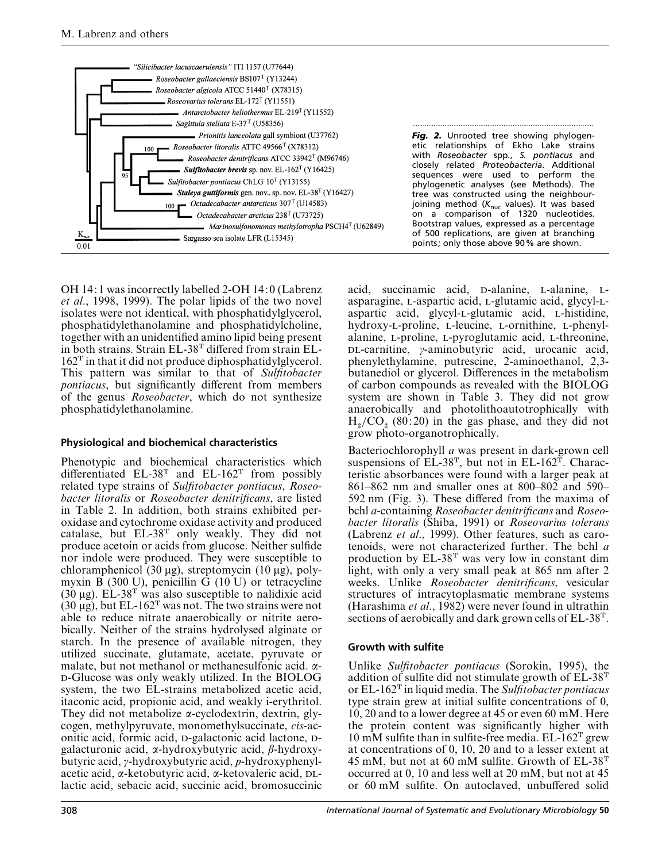

OH 14: 1 was incorrectly labelled 2-OH 14: 0 (Labrenz *et al*., 1998, 1999). The polar lipids of the two novel isolates were not identical, with phosphatidylglycerol, phosphatidylethanolamine and phosphatidylcholine, together with an unidentified amino lipid being present in both strains. Strain EL-38T differed from strain EL- $162<sup>T</sup>$  in that it did not produce diphosphatidylglycerol. This pattern was similar to that of *Sulfitobacter pontiacus*, but significantly different from members of the genus *Roseobacter*, which do not synthesize phosphatidylethanolamine.

#### **Physiological and biochemical characteristics**

Phenotypic and biochemical characteristics which differentiated  $EL-38<sup>T</sup>$  and  $EL-162<sup>T</sup>$  from possibly related type strains of *Sulfitobacter pontiacus*, *Roseobacter litoralis* or *Roseobacter denitrificans*, are listed in Table 2. In addition, both strains exhibited peroxidase and cytochrome oxidase activity and produced catalase, but EL-38<sup>T</sup> only weakly. They did not produce acetoin or acids from glucose. Neither sulfide nor indole were produced. They were susceptible to chloramphenicol (30 µg), streptomycin (10 µg), polymyxin B (300 U), penicillin G (10 U) or tetracycline  $(30 \mu g)$ . EL-38<sup>T</sup> was also susceptible to nalidixic acid  $(30 \mu g)$ , but EL-162<sup>T</sup> was not. The two strains were not able to reduce nitrate anaerobically or nitrite aerobically. Neither of the strains hydrolysed alginate or starch. In the presence of available nitrogen, they utilized succinate, glutamate, acetate, pyruvate or malate, but not methanol or methanesulfonic acid. α- -Glucose was only weakly utilized. In the BIOLOG system, the two EL-strains metabolized acetic acid, itaconic acid, propionic acid, and weakly i-erythritol. They did not metabolize α-cyclodextrin, dextrin, glycogen, methylpyruvate, monomethylsuccinate, *cis*-aconitic acid, formic acid, p-galactonic acid lactone, pgalacturonic acid, α-hydroxybutyric acid, β-hydroxybutyric acid, γ-hydroxybutyric acid, *p*-hydroxyphenylacetic acid, α-ketobutyric acid, α-ketovaleric acid,  $DL$ lactic acid, sebacic acid, succinic acid, bromosuccinic

acid, succinamic acid, p-alanine, L-alanine, Lasparagine, L-aspartic acid, L-glutamic acid, glycyl-Laspartic acid, glycyl-L-glutamic acid, L-histidine, hydroxy-L-proline, L-leucine, L-ornithine, L-phenylalanine, L-proline, L-pyroglutamic acid, L-threonine, -carnitine, γ-aminobutyric acid, urocanic acid, phenylethylamine, putrescine, 2-aminoethanol, 2,3 butanediol or glycerol. Differences in the metabolism of carbon compounds as revealed with the BIOLOG system are shown in Table 3. They did not grow anaerobically and photolithoautotrophically with  $H_2/CO_2$  (80:20) in the gas phase, and they did not grow photo-organotrophically.

Bacteriochlorophyll *a* was present in dark-grown cell suspensions of  $EL-38<sup>T</sup>$ , but not in  $EL-162<sup>T</sup>$ . Characteristic absorbances were found with a larger peak at 861–862 nm and smaller ones at 800–802 and 590– 592 nm (Fig. 3). These differed from the maxima of bchl *a*-containing *Roseobacter denitrificans* and *Roseobacter litoralis* (Shiba, 1991) or *Roseovarius tolerans* (Labrenz *et al*., 1999). Other features, such as carotenoids, were not characterized further. The bchl *a* production by  $EL-38<sup>T</sup>$  was very low in constant dim light, with only a very small peak at 865 nm after 2 weeks. Unlike *Roseobacter denitrificans*, vesicular structures of intracytoplasmatic membrane systems (Harashima *et al*., 1982) were never found in ultrathin sections of aerobically and dark grown cells of EL-38T.

## **Growth with sulfite**

Unlike *Sulfitobacter pontiacus* (Sorokin, 1995), the addition of sulfite did not stimulate growth of  $EL-38<sup>T</sup>$ or EL-162T in liquid media. The *Sulfitobacter pontiacus* type strain grew at initial sulfite concentrations of 0, 10, 20 and to a lower degree at 45 or even 60 mM. Here the protein content was significantly higher with 10 mM sulfite than in sulfite-free media.  $EL-162$ <sup>T</sup> grew at concentrations of 0, 10, 20 and to a lesser extent at 45 mM, but not at 60 mM sulfite. Growth of  $EL-38<sup>T</sup>$ occurred at 0, 10 and less well at 20 mM, but not at 45 or 60 mM sulfite. On autoclaved, unbuffered solid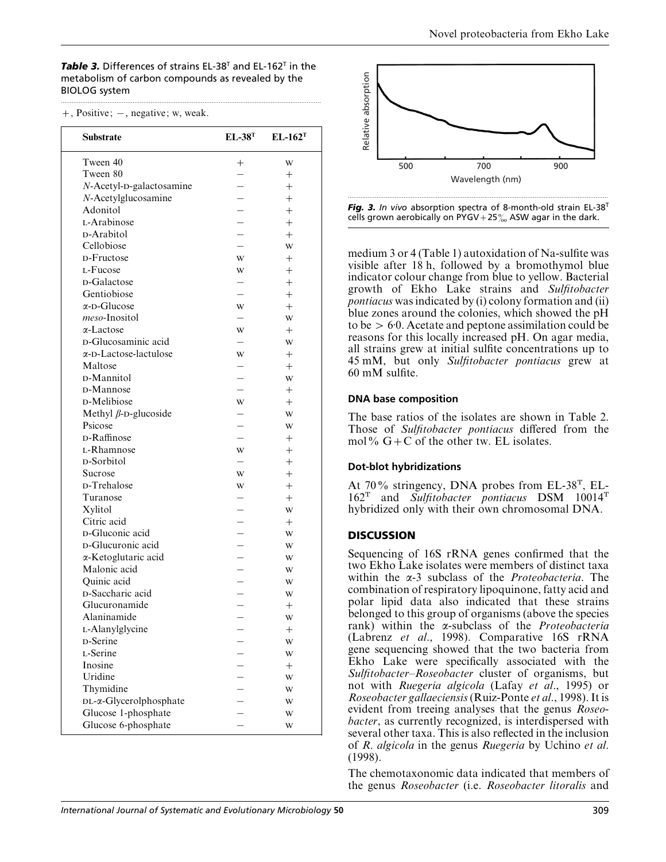*Table 3.* Differences of strains EL-38T and EL-162T in the metabolism of carbon compounds as revealed by the BIOLOG system .................................................................................................................................................

| $+$ , Positive; $-$ , negative; w, weak. |  |  |
|------------------------------------------|--|--|
|------------------------------------------|--|--|

| Substrate                              | $EL-38T$       | $EL-162T$ |
|----------------------------------------|----------------|-----------|
| Tween 40                               | $^+$           | W         |
| Tween 80                               |                | $^+$      |
| N-Acetyl-D-galactosamine               |                | $^{+}$    |
| N-Acetylglucosamine                    |                | $^{+}$    |
| Adonitol                               |                | $^{+}$    |
| L-Arabinose                            |                | $^{+}$    |
| <b>D-Arabitol</b>                      |                | $^{+}$    |
| Cellobiose                             |                | W         |
| D-Fructose                             | W              | $^{+}$    |
| L-Fucose                               | W              | $^{+}$    |
| <b>D-Galactose</b>                     |                | $^{+}$    |
| Gentiobiose                            |                | $^{+}$    |
| $\alpha$ -D-Glucose                    | W              | $^{+}$    |
| meso-Inositol                          |                | W         |
| $\alpha$ -Lactose                      | W              | $^{+}$    |
| D-Glucosaminic acid                    |                | W         |
| $\alpha$ -D-Lactose-lactulose          | W              | $^{+}$    |
| Maltose                                |                | $^{+}$    |
| D-Mannitol                             |                |           |
| D-Mannose                              |                | W         |
| <b>D-Melibiose</b>                     | W              | $^{+}$    |
|                                        |                | $^{+}$    |
| Methyl $\beta$ -D-glucoside<br>Psicose |                | W         |
| D-Raffinose                            | $\overline{a}$ | W         |
|                                        |                | $^{+}$    |
| L-Rhamnose                             | W              | $^{+}$    |
| D-Sorbitol                             |                | $^{+}$    |
| Sucrose                                | W              | $^{+}$    |
| D-Trehalose                            | W              | $^{+}$    |
| Turanose                               |                | $^{+}$    |
| Xylitol                                |                | W         |
| Citric acid                            |                | $^{+}$    |
| D-Gluconic acid                        |                | W         |
| D-Glucuronic acid                      |                | W         |
| α-Ketoglutaric acid                    |                | W         |
| Malonic acid                           |                | W         |
| Quinic acid                            |                | W         |
| D-Saccharic acid                       |                | W         |
| Glucuronamide                          |                | $^{+}$    |
| Alaninamide                            |                | W         |
| L-Alanylglycine                        |                | $^+$      |
| D-Serine                               |                | W         |
| L-Serine                               |                | W         |
| Inosine                                |                | $^+$      |
| Uridine                                |                | W         |
| Thymidine                              |                | W         |
| DL-x-Glycerolphosphate                 |                | W         |
| Glucose 1-phosphate                    |                | W         |
| Glucose 6-phosphate                    |                | W         |





medium 3 or 4 (Table 1) autoxidation of Na-sulfite was visible after 18 h, followed by a bromothymol blue indicator colour change from blue to yellow. Bacterial growth of Ekho Lake strains and *Sulfitobacter pontiacus* was indicated by (i) colony formation and (ii) blue zones around the colonies, which showed the pH to be  $> 6.0$ . Acetate and peptone assimilation could be reasons for this locally increased pH. On agar media, all strains grew at initial sulfite concentrations up to 45 mM, but only *Sulfitobacter pontiacus* grew at 60 mM sulfite.

## **DNA base composition**

The base ratios of the isolates are shown in Table 2. Those of *Sulfitobacter pontiacus* differed from the mol%  $G+C$  of the other tw. EL isolates.

## **Dot-blot hybridizations**

At 70% stringency, DNA probes from EL-38T, EL-162T and *Sulfitobacter pontiacus* DSM 10014T hybridized only with their own chromosomal DNA.

# **DISCUSSION**

Sequencing of 16S rRNA genes confirmed that the two Ekho Lake isolates were members of distinct taxa within the α-3 subclass of the *Proteobacteria*. The combination of respiratory lipoquinone, fatty acid and polar lipid data also indicated that these strains belonged to this group of organisms (above the species rank) within the α-subclass of the *Proteobacteria* (Labrenz *et al*., 1998). Comparative 16S rRNA gene sequencing showed that the two bacteria from Ekho Lake were specifically associated with the *Sulfitobacter*–*Roseobacter* cluster of organisms, but not with *Ruegeria algicola* (Lafay *et al*., 1995) or *Roseobacter gallaeciensis*(Ruiz-Ponte *et al*., 1998). It is evident from treeing analyses that the genus *Roseobacter*, as currently recognized, is interdispersed with several other taxa. This is also reflected in the inclusion of *R*. *algicola* in the genus *Ruegeria* by Uchino *et al*. (1998).

The chemotaxonomic data indicated that members of the genus *Roseobacter* (i.e. *Roseobacter litoralis* and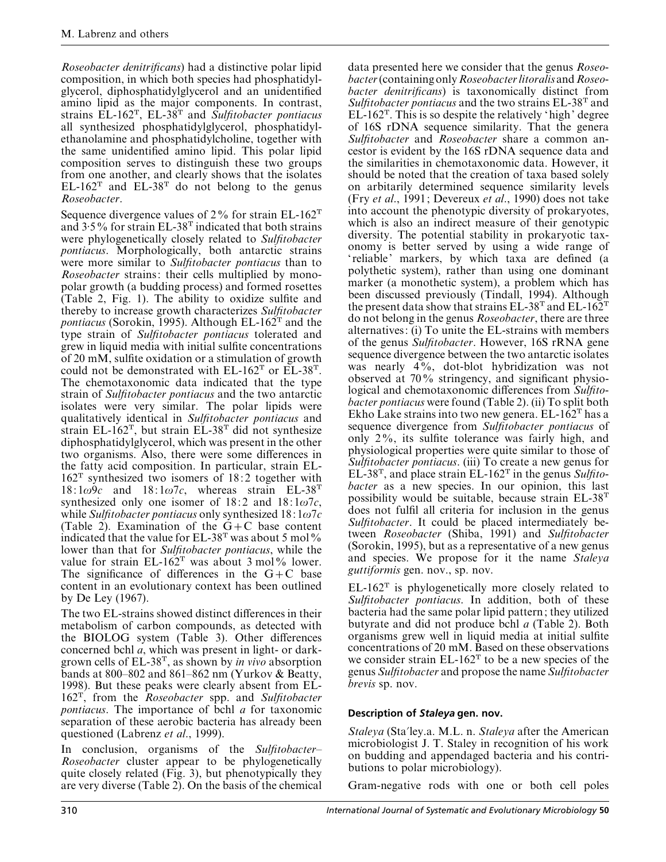*Roseobacter denitrificans*) had a distinctive polar lipid composition, in which both species had phosphatidylglycerol, diphosphatidylglycerol and an unidentified amino lipid as the major components. In contrast, strains EL-162T, EL-38T and *Sulfitobacter pontiacus* all synthesized phosphatidylglycerol, phosphatidylethanolamine and phosphatidylcholine, together with the same unidentified amino lipid. This polar lipid composition serves to distinguish these two groups from one another, and clearly shows that the isolates  $EL-162^T$  and  $EL-38^T$  do not belong to the genus *Roseobacter*.

Sequence divergence values of  $2\%$  for strain EL-162<sup>T</sup> and  $3.5\%$  for strain EL-38<sup>T</sup> indicated that both strains were phylogenetically closely related to *Sulfitobacter pontiacus*. Morphologically, both antarctic strains were more similar to *Sulfitobacter pontiacus* than to *Roseobacter* strains: their cells multiplied by monopolar growth (a budding process) and formed rosettes (Table 2, Fig. 1). The ability to oxidize sulfite and thereby to increase growth characterizes *Sulfitobacter pontiacus* (Sorokin, 1995). Although EL-162<sup>T</sup> and the type strain of *Sulfitobacter pontiacus* tolerated and grew in liquid media with initial sulfite concentrations of 20 mM, sulfite oxidation or a stimulation of growth could not be demonstrated with  $EL-162<sup>T</sup>$  or  $EL-38<sup>T</sup>$ . The chemotaxonomic data indicated that the type strain of *Sulfitobacter pontiacus* and the two antarctic isolates were very similar. The polar lipids were qualitatively identical in *Sulfitobacter pontiacus* and strain EL-162T, but strain EL-38T did not synthesize diphosphatidylglycerol, which was present in the other two organisms. Also, there were some differences in the fatty acid composition. In particular, strain EL- $162^T$  synthesized two isomers of 18:2 together with  $18: 1\omega$ 9*c* and  $18: 1\omega$ 7*c*, whereas strain EL-38<sup>T</sup> synthesized only one isomer of  $18:2$  and  $18:1\omega$ 7*c*, while *Sulfitobacter pontiacus* only synthesized 18: 1ω7*c* (Table 2). Examination of the  $G+C$  base content indicated that the value for  $EL-38^T$  was about 5 mol% lower than that for *Sulfitobacter pontiacus*, while the value for strain  $EL-162$ <sup>T</sup> was about 3 mol% lower. The significance of differences in the  $G+C$  base content in an evolutionary context has been outlined by De Ley (1967).

The two EL-strains showed distinct differences in their metabolism of carbon compounds, as detected with the BIOLOG system (Table 3). Other differences concerned bchl *a*, which was present in light- or darkgrown cells of EL-38T, as shown by *in vivo* absorption bands at 800–802 and 861–862 nm (Yurkov  $\&$  Beatty, 1998). But these peaks were clearly absent from EL-162T, from the *Roseobacter* spp. and *Sulfitobacter pontiacus*. The importance of bchl *a* for taxonomic separation of these aerobic bacteria has already been questioned (Labrenz *et al*., 1999).

In conclusion, organisms of the *Sulfitobacter*– *Roseobacter* cluster appear to be phylogenetically quite closely related (Fig. 3), but phenotypically they are very diverse (Table 2). On the basis of the chemical

data presented here we consider that the genus *Roseobacter*(containing only*Roseobacterlitoralis*and*Roseobacter denitrificans*) is taxonomically distinct from *Sulfitobacter pontiacus* and the two strains EL-38T and  $EL-162<sup>T</sup>$ . This is so despite the relatively 'high' degree of 16S rDNA sequence similarity. That the genera *Sulfitobacter* and *Roseobacter* share a common ancestor is evident by the 16S rDNA sequence data and the similarities in chemotaxonomic data. However, it should be noted that the creation of taxa based solely on arbitarily determined sequence similarity levels (Fry *et al*., 1991; Devereux *et al*., 1990) does not take into account the phenotypic diversity of prokaryotes, which is also an indirect measure of their genotypic diversity. The potential stability in prokaryotic taxonomy is better served by using a wide range of ' reliable' markers, by which taxa are defined (a polythetic system), rather than using one dominant marker (a monothetic system), a problem which has been discussed previously (Tindall, 1994). Although the present data show that strains EL-38<sup>T</sup> and EL-162<sup>T</sup> do not belong in the genus *Roseobacter*, there are three alternatives: (i) To unite the EL-strains with members of the genus *Sulfitobacter*. However, 16S rRNA gene sequence divergence between the two antarctic isolates was nearly 4%, dot-blot hybridization was not observed at 70% stringency, and significant physiological and chemotaxonomic differences from *Sulfitobacter pontiacus* were found (Table 2). (ii) To split both Ekho Lake strains into two new genera.  $EL-162<sup>T</sup>$  has a sequence divergence from *Sulfitobacter pontiacus* of only 2%, its sulfite tolerance was fairly high, and physiological properties were quite similar to those of *Sulfitobacter pontiacus*. (iii) To create a new genus for EL-38T, and place strain EL-162T in the genus *Sulfitobacter* as a new species. In our opinion, this last possibility would be suitable, because strain EL-38T does not fulfil all criteria for inclusion in the genus *Sulfitobacter*. It could be placed intermediately between *Roseobacter* (Shiba, 1991) and *Sulfitobacter* (Sorokin, 1995), but as a representative of a new genus and species. We propose for it the name *Staleya guttiformis* gen. nov., sp. nov.

 $EL-162<sup>T</sup>$  is phylogenetically more closely related to *Sulfitobacter pontiacus*. In addition, both of these bacteria had the same polar lipid pattern; they utilized butyrate and did not produce bchl *a* (Table 2). Both organisms grew well in liquid media at initial sulfite concentrations of 20 mM. Based on these observations we consider strain  $EL-162<sup>T</sup>$  to be a new species of the genus *Sulfitobacter* and propose the name *Sulfitobacter brevis* sp. nov.

## **Description of** *Staleya* **gen. nov.**

*Staleya* (Sta'ley.a. M.L. n. *Staleya* after the American microbiologist J. T. Staley in recognition of his work on budding and appendaged bacteria and his contributions to polar microbiology).

Gram-negative rods with one or both cell poles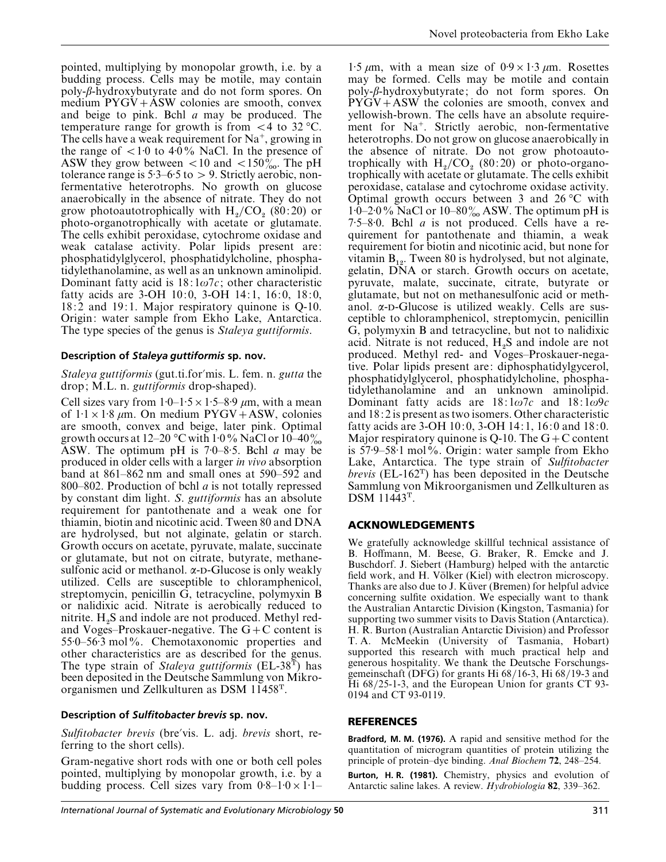pointed, multiplying by monopolar growth, i.e. by a budding process. Cells may be motile, may contain poly-β-hydroxybutyrate and do not form spores. On medium  $PYGV+ASW$  colonies are smooth, convex and beige to pink. Bchl *a* may be produced. The temperature range for growth is from  $\langle 4 \rangle$  to 32 °C. The cells have a weak requirement for  $Na^+$ , growing in the range of  $\langle 1:0 \text{ to } 4:0\% \text{ NaCl}$ . In the presence of ASW they grow between  $< 10$  and  $< 150\%$ . The pH tolerance range is  $5.3-6.5$  to  $> 9$ . Strictly aerobic, nonfermentative heterotrophs. No growth on glucose anaerobically in the absence of nitrate. They do not grow photoautotrophically with  $H_2/CO_2$  (80:20) or photo-organotrophically with acetate or glutamate. The cells exhibit peroxidase, cytochrome oxidase and weak catalase activity. Polar lipids present are: phosphatidylglycerol, phosphatidylcholine, phosphatidylethanolamine, as well as an unknown aminolipid. Dominant fatty acid is  $18:1\omega7c$ ; other characteristic fatty acids are 3-OH 10:0, 3-OH 14:1, 16:0, 18:0, 18:2 and 19:1. Major respiratory quinone is Q-10. Origin: water sample from Ekho Lake, Antarctica. The type species of the genus is *Staleya guttiformis*.

#### **Description of** *Staleya guttiformis* **sp. nov.**

#### *Staleya guttiformis* (gut.ti.for'mis. L. fem. n. *gutta* the drop; M.L. n. *guttiformis* drop-shaped).

Cell sizes vary from  $1:0-1:5\times1:5-8:9 \ \mu \text{m}$ , with a mean of  $1:1\times1:8$  µm. On medium PYGV+ASW, colonies are smooth, convex and beige, later pink. Optimal growth occurs at 12–20 °C with 1 $\cdot$ 0% NaCl or 10–40 $\%$ ASW. The optimum pH is 7±0–8±5. Bchl *a* may be produced in older cells with a larger *in vivo* absorption band at 861–862 nm and small ones at 590–592 and 800–802. Production of bchl *a* is not totally repressed by constant dim light. *S*. *guttiformis* has an absolute requirement for pantothenate and a weak one for thiamin, biotin and nicotinic acid. Tween 80 and DNA are hydrolysed, but not alginate, gelatin or starch. Growth occurs on acetate, pyruvate, malate, succinate or glutamate, but not on citrate, butyrate, methanesulfonic acid or methanol.  $\alpha$ -D-Glucose is only weakly utilized. Cells are susceptible to chloramphenicol, streptomycin, penicillin G, tetracycline, polymyxin B or nalidixic acid. Nitrate is aerobically reduced to nitrite.  $H_2S$  and indole are not produced. Methyl redand Voges–Proskauer-negative. The  $G+C$  content is 55±0–56±3 mol%. Chemotaxonomic properties and other characteristics are as described for the genus. The type strain of *Staleya guttiformis* (EL-38T) has been deposited in the Deutsche Sammlung von Mikroorganismen und Zellkulturen as DSM 11458T.

#### **Description of** *Sulfitobacter brevis* **sp. nov.**

*Sulfitobacter brevis* (bre'vis. L. adj. *brevis* short, referring to the short cells).

Gram-negative short rods with one or both cell poles pointed, multiplying by monopolar growth, i.e. by a budding process. Cell sizes vary from  $0.8-1:0\times1:1-$ 

1.5  $\mu$ m, with a mean size of 0.9 × 1.3  $\mu$ m. Rosettes may be formed. Cells may be motile and contain poly-β-hydroxybutyrate; do not form spores. On  $PYGV+ASW$  the colonies are smooth, convex and yellowish-brown. The cells have an absolute requirement for Na<sup>+</sup>. Strictly aerobic, non-fermentative heterotrophs. Do not grow on glucose anaerobically in the absence of nitrate. Do not grow photoautotrophically with  $H_2/CO_2$  (80:20) or photo-organo trophically with acetate or glutamate. The cells exhibit peroxidase, catalase and cytochrome oxidase activity. Optimal growth occurs between 3 and 26 °C with  $1·0$ –2·0% NaCl or 10–80% ASW. The optimum pH is  $7.5-8.0$ . Bchl *a* is not produced. Cells have a requirement for pantothenate and thiamin, a weak requirement for biotin and nicotinic acid, but none for vitamin  $B_{12}$ . Tween 80 is hydrolysed, but not alginate, gelatin, DNA or starch. Growth occurs on acetate, pyruvate, malate, succinate, citrate, butyrate or glutamate, but not on methanesulfonic acid or methanol.  $\alpha$ -D-Glucose is utilized weakly. Cells are susceptible to chloramphenicol, streptomycin, penicillin G, polymyxin B and tetracycline, but not to nalidixic acid. Nitrate is not reduced,  $H_2S$  and indole are not produced. Methyl red- and Voges–Proskauer-negative. Polar lipids present are: diphosphatidylgycerol, phosphatidylglycerol, phosphatidylcholine, phosphatidylethanolamine and an unknown aminolipid. Dominant fatty acids are 18: 1ω7*c* and 18: 1ω9*c* and 18: 2 is present as two isomers. Other characteristic fatty acids are 3-OH 10:0, 3-OH 14:1, 16:0 and 18:0. Major respiratory quinone is Q-10. The  $G+C$  content is  $57.9-58.1$  mol%. Origin: water sample from Ekho Lake, Antarctica. The type strain of *Sulfitobacter brevis* (EL-162T) has been deposited in the Deutsche Sammlung von Mikroorganismen und Zellkulturen as DSM 11443T.

#### **ACKNOWLEDGEMENTS**

We gratefully acknowledge skillful technical assistance of B. Hoffmann, M. Beese, G. Braker, R. Emcke and J. Buschdorf. J. Siebert (Hamburg) helped with the antarctic field work, and H. Völker (Kiel) with electron microscopy. Thanks are also due to J. Küver (Bremen) for helpful advice concerning sulfite oxidation. We especially want to thank the Australian Antarctic Division (Kingston, Tasmania) for supporting two summer visits to Davis Station (Antarctica). H. R. Burton (Australian Antarctic Division) and Professor T. A. McMeekin (University of Tasmania, Hobart) supported this research with much practical help and generous hospitality. We thank the Deutsche Forschungsgemeinschaft (DFG) for grants Hi 68}16-3, Hi 68}19-3 and Hi 68/25-1-3, and the European Union for grants CT 93-0194 and CT 93-0119.

#### **REFERENCES**

**Bradford, M. M. (1976).** A rapid and sensitive method for the quantitation of microgram quantities of protein utilizing the principle of protein–dye binding. *Anal Biochem* **72**, 248–254.

**Burton, H. R. (1981).** Chemistry, physics and evolution of Antarctic saline lakes. A review. *Hydrobiologia* **82**, 339–362.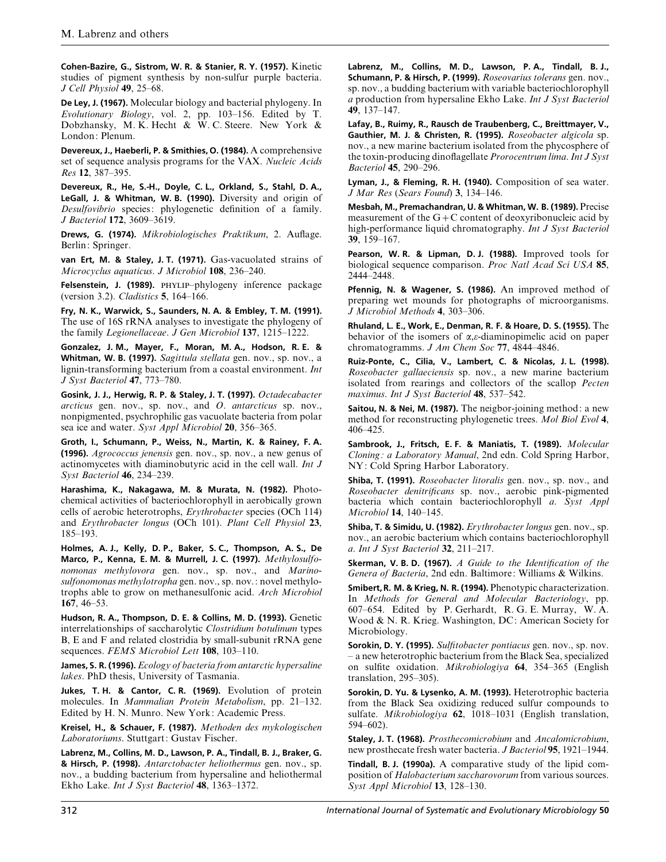**Cohen-Bazire, G., Sistrom, W. R. & Stanier, R. Y. (1957).** Kinetic studies of pigment synthesis by non-sulfur purple bacteria. *J Cell Physiol* **49**, 25–68.

**De Ley, J. (1967).** Molecular biology and bacterial phylogeny. In *Evolutionary Biology*, vol. 2, pp. 103–156. Edited by T. Dobzhansky, M. K. Hecht & W. C. Steere. New York & London: Plenum.

**Devereux, J., Haeberli, P. & Smithies, O. (1984).** A comprehensive set of sequence analysis programs for the VAX. *Nucleic Acids Res* **12**, 387–395.

**Devereux, R., He, S.-H., Doyle, C. L., Orkland, S., Stahl, D. A., LeGall, J. & Whitman, W. B. (1990).** Diversity and origin of *Desulfovibrio* species: phylogenetic definition of a family. *J Bacteriol* **172**, 3609–3619.

**Drews, G. (1974).** *Mikrobiologisches Praktikum*, 2. Auflage. Berlin: Springer.

**van Ert, M. & Staley, J. T. (1971).** Gas-vacuolated strains of *Microcyclus aquaticus*. *J Microbiol* **108**, 236–240.

Felsenstein, J. (1989). PHYLIP-phylogeny inference package (version 3.2). *Cladistics* **5**, 164–166.

**Fry, N. K., Warwick, S., Saunders, N. A. & Embley, T. M. (1991).** The use of 16S rRNA analyses to investigate the phylogeny of the family *Legionellaceae*. *J Gen Microbiol* **137**, 1215–1222.

**Gonzalez, J. M., Mayer, F., Moran, M. A., Hodson, R. E. & Whitman, W. B. (1997).** *Sagittula stellata* gen. nov., sp. nov., a lignin-transforming bacterium from a coastal environment. *Int J Syst Bacteriol* **47**, 773–780.

**Gosink, J. J., Herwig, R. P. & Staley, J. T. (1997).** *Octadecabacter arcticus* gen. nov., sp. nov., and *O*. *antarcticus* sp. nov., nonpigmented, psychrophilic gas vacuolate bacteria from polar sea ice and water. *Syst Appl Microbiol* **20**, 356–365.

**Groth, I., Schumann, P., Weiss, N., Martin, K. & Rainey, F. A. (1996).** *Agrococcus jenensis* gen. nov., sp. nov., a new genus of actinomycetes with diaminobutyric acid in the cell wall. *Int J Syst Bacteriol* **46**, 234–239.

**Harashima, K., Nakagawa, M. & Murata, N. (1982).** Photochemical activities of bacteriochlorophyll in aerobically grown cells of aerobic heterotrophs, *Erythrobacter* species (OCh 114) and *Erythrobacter longus* (OCh 101). *Plant Cell Physiol* **23**, 185–193.

**Holmes, A. J., Kelly, D. P., Baker, S. C., Thompson, A. S., De Marco, P., Kenna, E. M. & Murrell, J. C. (1997).** *Methylosulfonomonas methylovora* gen. nov., sp. nov., and *Marinosulfonomonas methylotropha* gen. nov., sp. nov.: novel methylotrophs able to grow on methanesulfonic acid. *Arch Microbiol* **167**, 46–53.

**Hudson, R. A., Thompson, D. E. & Collins, M. D. (1993).** Genetic interrelationships of saccharolytic *Clostridium botulinum* types B, E and F and related clostridia by small-subunit rRNA gene sequences. *FEMS Microbiol Lett* **108**, 103–110.

**James, S. R. (1996).***Ecology of bacteria from antarctic hypersaline lakes*. PhD thesis, University of Tasmania.

**Jukes, T. H. & Cantor, C. R. (1969).** Evolution of protein molecules. In *Mammalian Protein Metabolism*, pp. 21–132. Edited by H. N. Munro. New York: Academic Press.

**Kreisel, H., & Schauer, F. (1987).** *Methoden des mykologischen Laboratoriums*. Stuttgart: Gustav Fischer.

**Labrenz, M., Collins, M. D., Lawson, P. A., Tindall, B. J., Braker, G. & Hirsch, P. (1998).** *Antarctobacter heliothermus* gen. nov., sp. nov., a budding bacterium from hypersaline and heliothermal Ekho Lake. *Int J Syst Bacteriol* **48**, 1363–1372.

**Labrenz, M., Collins, M. D., Lawson, P. A., Tindall, B. J., Schumann, P. & Hirsch, P. (1999).** *Roseovarius tolerans* gen. nov., sp. nov., a budding bacterium with variable bacteriochlorophyll *a* production from hypersaline Ekho Lake. *Int J Syst Bacteriol* **49**, 137–147.

**Lafay, B., Ruimy, R., Rausch de Traubenberg, C., Breittmayer, V., Gauthier, M. J. & Christen, R. (1995).** *Roseobacter algicola* sp. nov., a new marine bacterium isolated from the phycosphere of the toxin-producing dinoflagellate *Prorocentrum lima*.*Int J Syst Bacteriol* **45**, 290–296.

**Lyman, J., & Fleming, R. H. (1940).** Composition of sea water. *J Mar Res* (*Sears Found*) **3**, 134–146.

**Mesbah, M., Premachandran, U. & Whitman, W. B. (1989).** Precise measurement of the  $G+C$  content of deoxyribonucleic acid by high-performance liquid chromatography. *Int J Syst Bacteriol* **39**, 159–167.

**Pearson, W. R. & Lipman, D. J. (1988).** Improved tools for biological sequence comparison. *Proc Natl Acad Sci USA* **85**, 2444–2448.

**Pfennig, N. & Wagener, S. (1986).** An improved method of preparing wet mounds for photographs of microorganisms. *J Microbiol Methods* **4**, 303–306.

**Rhuland, L. E., Work, E., Denman, R. F. & Hoare, D. S. (1955).** The behavior of the isomers of α,ε-diaminopimelic acid on paper chromatogramms. *J Am Chem Soc* **77**, 4844–4846.

**Ruiz-Ponte, C., Cilia, V., Lambert, C. & Nicolas, J. L. (1998).** *Roseobacter gallaeciensis* sp. nov., a new marine bacterium isolated from rearings and collectors of the scallop *Pecten maximus*. *Int J Syst Bacteriol* **48**, 537–542.

**Saitou, N. & Nei, M. (1987).** The neigbor-joining method: a new method for reconstructing phylogenetic trees. *Mol Biol Evol* **4**, 406–425.

**Sambrook, J., Fritsch, E. F. & Maniatis, T. (1989).** *Molecular Cloning : a Laboratory Manual*, 2nd edn. Cold Spring Harbor, NY: Cold Spring Harbor Laboratory.

**Shiba, T. (1991).** *Roseobacter litoralis* gen. nov., sp. nov., and *Roseobacter denitrificans* sp. nov., aerobic pink-pigmented bacteria which contain bacteriochlorophyll *a*. *Syst Appl Microbiol* **14**, 140–145.

**Shiba, T. & Simidu, U. (1982).** *Erythrobacter longus* gen. nov., sp. nov., an aerobic bacterium which contains bacteriochlorophyll *a*. *Int J Syst Bacteriol* **32**, 211–217.

**Skerman, V. B. D. (1967).** *A Guide to the Identification of the Genera of Bacteria*, 2nd edn. Baltimore: Williams & Wilkins.

**Smibert,R. M. & Krieg, N. R. (1994).** Phenotypic characterization. In *Methods for General and Molecular Bacteriology*, pp. 607–654. Edited by P. Gerhardt, R. G. E. Murray, W. A. Wood & N. R. Krieg. Washington, DC: American Society for Microbiology.

**Sorokin, D. Y. (1995).** *Sulfitobacter pontiacus* gen. nov., sp. nov. – a new heterotrophic bacterium from the Black Sea, specialized on sulfite oxidation. *Mikrobiologiya* **64**, 354–365 (English translation, 295–305).

**Sorokin, D. Yu. & Lysenko, A. M. (1993).** Heterotrophic bacteria from the Black Sea oxidizing reduced sulfur compounds to sulfate. *Mikrobiologiya* **62**, 1018–1031 (English translation, 594–602).

**Staley, J. T. (1968).** *Prosthecomicrobium* and *Ancalomicrobium*, new prosthecate fresh water bacteria. *J Bacteriol* **95**, 1921–1944.

**Tindall, B. J. (1990a).** A comparative study of the lipid composition of *Halobacterium saccharovorum* from various sources. *Syst Appl Microbiol* **13**, 128–130.